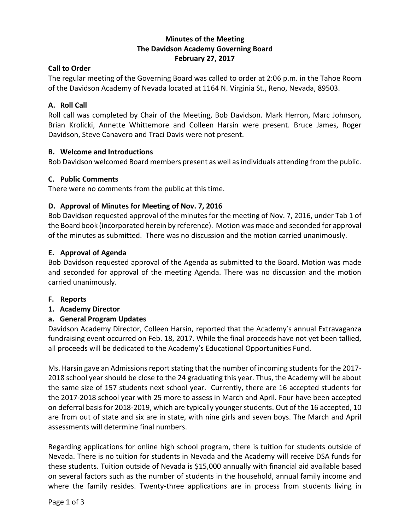# **Minutes of the Meeting The Davidson Academy Governing Board February 27, 2017**

## **Call to Order**

The regular meeting of the Governing Board was called to order at 2:06 p.m. in the Tahoe Room of the Davidson Academy of Nevada located at 1164 N. Virginia St., Reno, Nevada, 89503.

## **A. Roll Call**

Roll call was completed by Chair of the Meeting, Bob Davidson. Mark Herron, Marc Johnson, Brian Krolicki, Annette Whittemore and Colleen Harsin were present. Bruce James, Roger Davidson, Steve Canavero and Traci Davis were not present.

## **B. Welcome and Introductions**

Bob Davidson welcomed Board members present as well as individuals attending from the public.

## **C. Public Comments**

There were no comments from the public at this time.

## **D. Approval of Minutes for Meeting of Nov. 7, 2016**

Bob Davidson requested approval of the minutes for the meeting of Nov. 7, 2016, under Tab 1 of the Board book (incorporated herein by reference). Motion was made and seconded for approval of the minutes as submitted. There was no discussion and the motion carried unanimously.

## **E. Approval of Agenda**

Bob Davidson requested approval of the Agenda as submitted to the Board. Motion was made and seconded for approval of the meeting Agenda. There was no discussion and the motion carried unanimously.

- **F. Reports**
- **1. Academy Director**

# **a. General Program Updates**

Davidson Academy Director, Colleen Harsin, reported that the Academy's annual Extravaganza fundraising event occurred on Feb. 18, 2017. While the final proceeds have not yet been tallied, all proceeds will be dedicated to the Academy's Educational Opportunities Fund.

Ms. Harsin gave an Admissions report stating that the number of incoming students for the 2017- 2018 school year should be close to the 24 graduating this year. Thus, the Academy will be about the same size of 157 students next school year. Currently, there are 16 accepted students for the 2017-2018 school year with 25 more to assess in March and April. Four have been accepted on deferral basis for 2018-2019, which are typically younger students. Out of the 16 accepted, 10 are from out of state and six are in state, with nine girls and seven boys. The March and April assessments will determine final numbers.

Regarding applications for online high school program, there is tuition for students outside of Nevada. There is no tuition for students in Nevada and the Academy will receive DSA funds for these students. Tuition outside of Nevada is \$15,000 annually with financial aid available based on several factors such as the number of students in the household, annual family income and where the family resides. Twenty-three applications are in process from students living in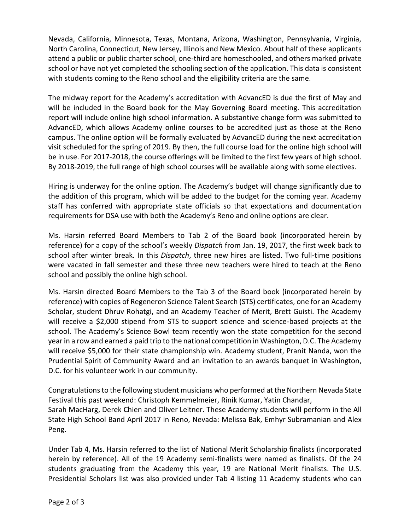Nevada, California, Minnesota, Texas, Montana, Arizona, Washington, Pennsylvania, Virginia, North Carolina, Connecticut, New Jersey, Illinois and New Mexico. About half of these applicants attend a public or public charter school, one-third are homeschooled, and others marked private school or have not yet completed the schooling section of the application. This data is consistent with students coming to the Reno school and the eligibility criteria are the same.

The midway report for the Academy's accreditation with AdvancED is due the first of May and will be included in the Board book for the May Governing Board meeting. This accreditation report will include online high school information. A substantive change form was submitted to AdvancED, which allows Academy online courses to be accredited just as those at the Reno campus. The online option will be formally evaluated by AdvancED during the next accreditation visit scheduled for the spring of 2019. By then, the full course load for the online high school will be in use. For 2017-2018, the course offerings will be limited to the first few years of high school. By 2018-2019, the full range of high school courses will be available along with some electives.

Hiring is underway for the online option. The Academy's budget will change significantly due to the addition of this program, which will be added to the budget for the coming year. Academy staff has conferred with appropriate state officials so that expectations and documentation requirements for DSA use with both the Academy's Reno and online options are clear.

Ms. Harsin referred Board Members to Tab 2 of the Board book (incorporated herein by reference) for a copy of the school's weekly *Dispatch* from Jan. 19, 2017, the first week back to school after winter break. In this *Dispatch*, three new hires are listed. Two full-time positions were vacated in fall semester and these three new teachers were hired to teach at the Reno school and possibly the online high school.

Ms. Harsin directed Board Members to the Tab 3 of the Board book (incorporated herein by reference) with copies of Regeneron Science Talent Search (STS) certificates, one for an Academy Scholar, student Dhruv Rohatgi, and an Academy Teacher of Merit, Brett Guisti. The Academy will receive a \$2,000 stipend from STS to support science and science-based projects at the school. The Academy's Science Bowl team recently won the state competition for the second year in a row and earned a paid trip to the national competition in Washington, D.C. The Academy will receive \$5,000 for their state championship win. Academy student, Pranit Nanda, won the Prudential Spirit of Community Award and an invitation to an awards banquet in Washington, D.C. for his volunteer work in our community.

Congratulations to the following student musicians who performed at the Northern Nevada State Festival this past weekend: Christoph Kemmelmeier, Rinik Kumar, Yatin Chandar, Sarah MacHarg, Derek Chien and Oliver Leitner. These Academy students will perform in the All State High School Band April 2017 in Reno, Nevada: Melissa Bak, Emhyr Subramanian and Alex Peng.

Under Tab 4, Ms. Harsin referred to the list of National Merit Scholarship finalists (incorporated herein by reference). All of the 19 Academy semi-finalists were named as finalists. Of the 24 students graduating from the Academy this year, 19 are National Merit finalists. The U.S. Presidential Scholars list was also provided under Tab 4 listing 11 Academy students who can